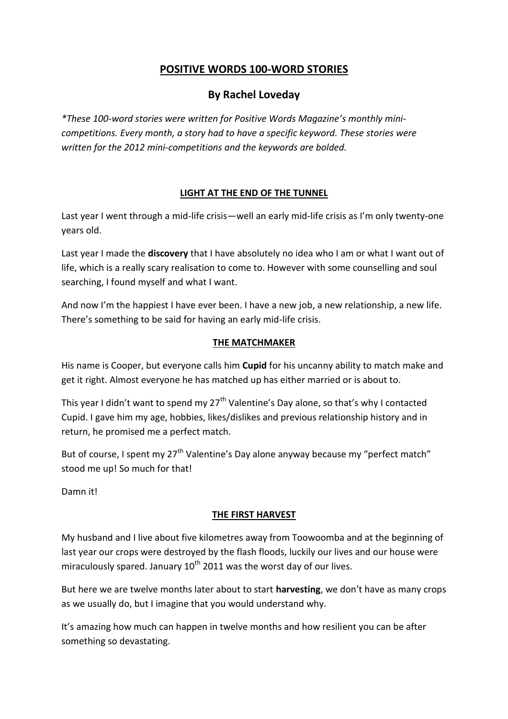# **POSITIVE WORDS 100-WORD STORIES**

# **By Rachel Loveday**

*\*These 100-word stories were written for Positive Words Magazine's monthly minicompetitions. Every month, a story had to have a specific keyword. These stories were written for the 2012 mini-competitions and the keywords are bolded.*

# **LIGHT AT THE END OF THE TUNNEL**

Last year I went through a mid-life crisis—well an early mid-life crisis as I'm only twenty-one years old.

Last year I made the **discovery** that I have absolutely no idea who I am or what I want out of life, which is a really scary realisation to come to. However with some counselling and soul searching, I found myself and what I want.

And now I'm the happiest I have ever been. I have a new job, a new relationship, a new life. There's something to be said for having an early mid-life crisis.

#### **THE MATCHMAKER**

His name is Cooper, but everyone calls him **Cupid** for his uncanny ability to match make and get it right. Almost everyone he has matched up has either married or is about to.

This year I didn't want to spend my  $27<sup>th</sup>$  Valentine's Day alone, so that's why I contacted Cupid. I gave him my age, hobbies, likes/dislikes and previous relationship history and in return, he promised me a perfect match.

But of course, I spent my  $27<sup>th</sup>$  Valentine's Day alone anyway because my "perfect match" stood me up! So much for that!

Damn it!

# **THE FIRST HARVEST**

My husband and I live about five kilometres away from Toowoomba and at the beginning of last year our crops were destroyed by the flash floods, luckily our lives and our house were miraculously spared. January  $10^{th}$  2011 was the worst day of our lives.

But here we are twelve months later about to start **harvesting**, we don't have as many crops as we usually do, but I imagine that you would understand why.

It's amazing how much can happen in twelve months and how resilient you can be after something so devastating.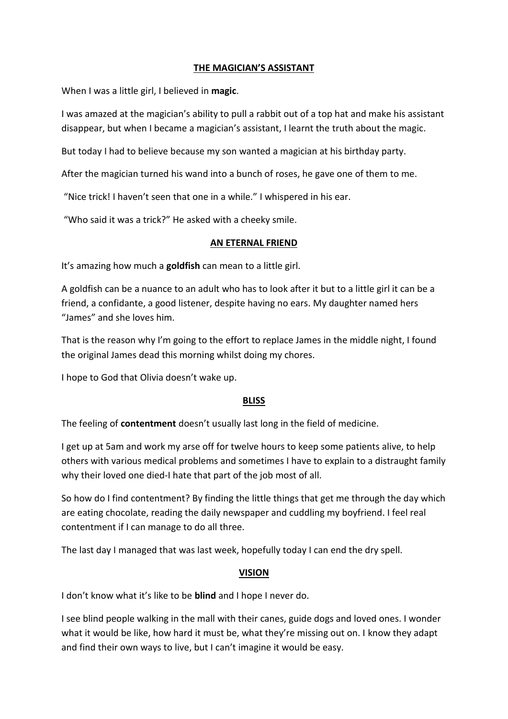# **THE MAGICIAN'S ASSISTANT**

When I was a little girl, I believed in **magic**.

I was amazed at the magician's ability to pull a rabbit out of a top hat and make his assistant disappear, but when I became a magician's assistant, I learnt the truth about the magic.

But today I had to believe because my son wanted a magician at his birthday party.

After the magician turned his wand into a bunch of roses, he gave one of them to me.

"Nice trick! I haven't seen that one in a while." I whispered in his ear.

"Who said it was a trick?" He asked with a cheeky smile.

#### **AN ETERNAL FRIEND**

It's amazing how much a **goldfish** can mean to a little girl.

A goldfish can be a nuance to an adult who has to look after it but to a little girl it can be a friend, a confidante, a good listener, despite having no ears. My daughter named hers "James" and she loves him.

That is the reason why I'm going to the effort to replace James in the middle night, I found the original James dead this morning whilst doing my chores.

I hope to God that Olivia doesn't wake up.

# **BLISS**

The feeling of **contentment** doesn't usually last long in the field of medicine.

I get up at 5am and work my arse off for twelve hours to keep some patients alive, to help others with various medical problems and sometimes I have to explain to a distraught family why their loved one died-I hate that part of the job most of all.

So how do I find contentment? By finding the little things that get me through the day which are eating chocolate, reading the daily newspaper and cuddling my boyfriend. I feel real contentment if I can manage to do all three.

The last day I managed that was last week, hopefully today I can end the dry spell.

# **VISION**

I don't know what it's like to be **blind** and I hope I never do.

I see blind people walking in the mall with their canes, guide dogs and loved ones. I wonder what it would be like, how hard it must be, what they're missing out on. I know they adapt and find their own ways to live, but I can't imagine it would be easy.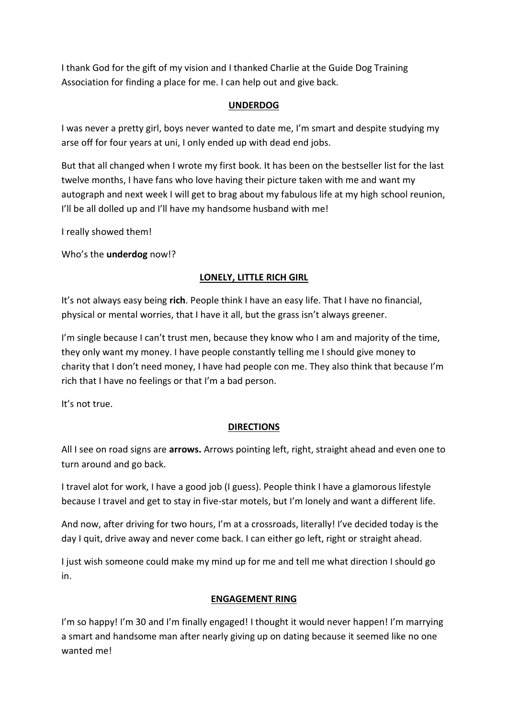I thank God for the gift of my vision and I thanked Charlie at the Guide Dog Training Association for finding a place for me. I can help out and give back.

#### **UNDERDOG**

I was never a pretty girl, boys never wanted to date me, I'm smart and despite studying my arse off for four years at uni, I only ended up with dead end jobs.

But that all changed when I wrote my first book. It has been on the bestseller list for the last twelve months, I have fans who love having their picture taken with me and want my autograph and next week I will get to brag about my fabulous life at my high school reunion, I'll be all dolled up and I'll have my handsome husband with me!

I really showed them!

Who's the **underdog** now!?

# **LONELY, LITTLE RICH GIRL**

It's not always easy being **rich**. People think I have an easy life. That I have no financial, physical or mental worries, that I have it all, but the grass isn't always greener.

I'm single because I can't trust men, because they know who I am and majority of the time, they only want my money. I have people constantly telling me I should give money to charity that I don't need money, I have had people con me. They also think that because I'm rich that I have no feelings or that I'm a bad person.

It's not true.

# **DIRECTIONS**

All I see on road signs are **arrows.** Arrows pointing left, right, straight ahead and even one to turn around and go back.

I travel alot for work, I have a good job (I guess). People think I have a glamorous lifestyle because I travel and get to stay in five-star motels, but I'm lonely and want a different life.

And now, after driving for two hours, I'm at a crossroads, literally! I've decided today is the day I quit, drive away and never come back. I can either go left, right or straight ahead.

I just wish someone could make my mind up for me and tell me what direction I should go in.

#### **ENGAGEMENT RING**

I'm so happy! I'm 30 and I'm finally engaged! I thought it would never happen! I'm marrying a smart and handsome man after nearly giving up on dating because it seemed like no one wanted me!